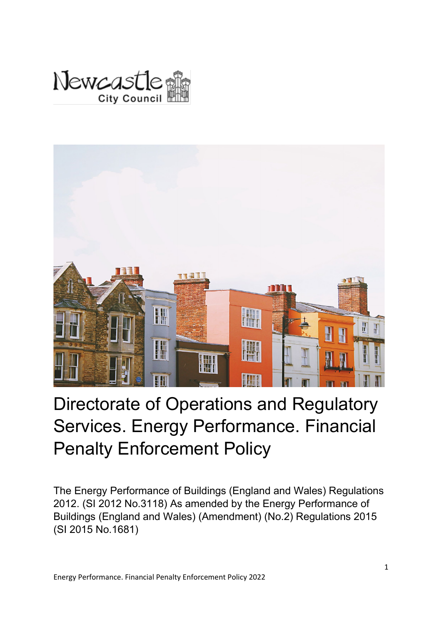



# Directorate of Operations and Regulatory Services. Energy Performance. Financial Penalty Enforcement Policy

The Energy Performance of Buildings (England and Wales) Regulations 2012. (SI 2012 No.3118) As amended by the Energy Performance of Buildings (England and Wales) (Amendment) (No.2) Regulations 2015 (SI 2015 No.1681)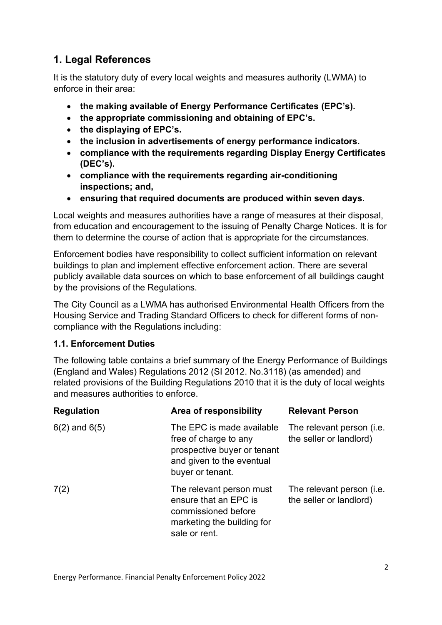# **1. Legal References**

It is the statutory duty of every local weights and measures authority (LWMA) to enforce in their area:

- **the making available of Energy Performance Certificates (EPC's).**
- **the appropriate commissioning and obtaining of EPC's.**
- **the displaying of EPC's.**
- **the inclusion in advertisements of energy performance indicators.**
- **compliance with the requirements regarding Display Energy Certificates (DEC's).**
- **compliance with the requirements regarding air-conditioning inspections; and,**
- **ensuring that required documents are produced within seven days.**

Local weights and measures authorities have a range of measures at their disposal, from education and encouragement to the issuing of Penalty Charge Notices. It is for them to determine the course of action that is appropriate for the circumstances.

Enforcement bodies have responsibility to collect sufficient information on relevant buildings to plan and implement effective enforcement action. There are several publicly available data sources on which to base enforcement of all buildings caught by the provisions of the Regulations.

The City Council as a LWMA has authorised Environmental Health Officers from the Housing Service and Trading Standard Officers to check for different forms of noncompliance with the Regulations including:

#### **1.1. Enforcement Duties**

The following table contains a brief summary of the Energy Performance of Buildings (England and Wales) Regulations 2012 (SI 2012. No.3118) (as amended) and related provisions of the Building Regulations 2010 that it is the duty of local weights and measures authorities to enforce.

| <b>Regulation</b> | Area of responsibility                                                                                                             | <b>Relevant Person</b>                               |
|-------------------|------------------------------------------------------------------------------------------------------------------------------------|------------------------------------------------------|
| $6(2)$ and $6(5)$ | The EPC is made available<br>free of charge to any<br>prospective buyer or tenant<br>and given to the eventual<br>buyer or tenant. | The relevant person (i.e.<br>the seller or landlord) |
| 7(2)              | The relevant person must<br>ensure that an EPC is<br>commissioned before<br>marketing the building for<br>sale or rent.            | The relevant person (i.e.<br>the seller or landlord) |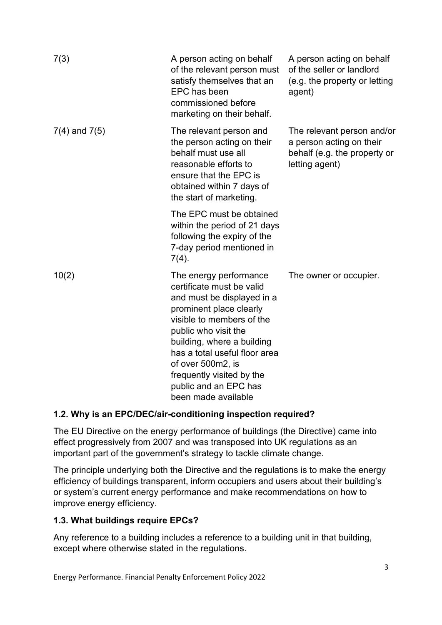| 7(3)              | A person acting on behalf<br>of the relevant person must<br>satisfy themselves that an<br>EPC has been<br>commissioned before<br>marketing on their behalf.                                                                                                                                                                        | A person acting on behalf<br>of the seller or landlord<br>(e.g. the property or letting<br>agent)        |
|-------------------|------------------------------------------------------------------------------------------------------------------------------------------------------------------------------------------------------------------------------------------------------------------------------------------------------------------------------------|----------------------------------------------------------------------------------------------------------|
| $7(4)$ and $7(5)$ | The relevant person and<br>the person acting on their<br>behalf must use all<br>reasonable efforts to<br>ensure that the EPC is<br>obtained within 7 days of<br>the start of marketing.                                                                                                                                            | The relevant person and/or<br>a person acting on their<br>behalf (e.g. the property or<br>letting agent) |
|                   | The EPC must be obtained<br>within the period of 21 days<br>following the expiry of the<br>7-day period mentioned in<br>$7(4)$ .                                                                                                                                                                                                   |                                                                                                          |
| 10(2)             | The energy performance<br>certificate must be valid<br>and must be displayed in a<br>prominent place clearly<br>visible to members of the<br>public who visit the<br>building, where a building<br>has a total useful floor area<br>of over 500m2, is<br>frequently visited by the<br>public and an EPC has<br>been made available | The owner or occupier.                                                                                   |

## **1.2. Why is an EPC/DEC/air-conditioning inspection required?**

The EU Directive on the energy performance of buildings (the Directive) came into effect progressively from 2007 and was transposed into UK regulations as an important part of the government's strategy to tackle climate change.

The principle underlying both the Directive and the regulations is to make the energy efficiency of buildings transparent, inform occupiers and users about their building's or system's current energy performance and make recommendations on how to improve energy efficiency.

## **1.3. What buildings require EPCs?**

Any reference to a building includes a reference to a building unit in that building, except where otherwise stated in the regulations.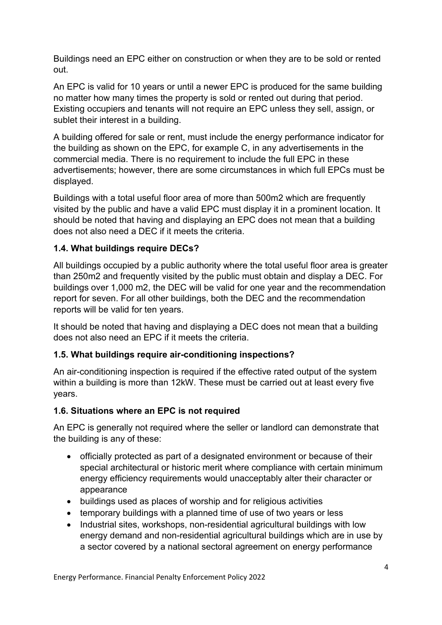Buildings need an EPC either on construction or when they are to be sold or rented out.

An EPC is valid for 10 years or until a newer EPC is produced for the same building no matter how many times the property is sold or rented out during that period. Existing occupiers and tenants will not require an EPC unless they sell, assign, or sublet their interest in a building.

A building offered for sale or rent, must include the energy performance indicator for the building as shown on the EPC, for example C, in any advertisements in the commercial media. There is no requirement to include the full EPC in these advertisements; however, there are some circumstances in which full EPCs must be displayed.

Buildings with a total useful floor area of more than 500m2 which are frequently visited by the public and have a valid EPC must display it in a prominent location. It should be noted that having and displaying an EPC does not mean that a building does not also need a DEC if it meets the criteria.

#### **1.4. What buildings require DECs?**

All buildings occupied by a public authority where the total useful floor area is greater than 250m2 and frequently visited by the public must obtain and display a DEC. For buildings over 1,000 m2, the DEC will be valid for one year and the recommendation report for seven. For all other buildings, both the DEC and the recommendation reports will be valid for ten years.

It should be noted that having and displaying a DEC does not mean that a building does not also need an EPC if it meets the criteria.

#### **1.5. What buildings require air-conditioning inspections?**

An air-conditioning inspection is required if the effective rated output of the system within a building is more than 12kW. These must be carried out at least every five years.

#### **1.6. Situations where an EPC is not required**

An EPC is generally not required where the seller or landlord can demonstrate that the building is any of these:

- officially protected as part of a designated environment or because of their special architectural or historic merit where compliance with certain minimum energy efficiency requirements would unacceptably alter their character or appearance
- buildings used as places of worship and for religious activities
- temporary buildings with a planned time of use of two years or less
- Industrial sites, workshops, non-residential agricultural buildings with low energy demand and non-residential agricultural buildings which are in use by a sector covered by a national sectoral agreement on energy performance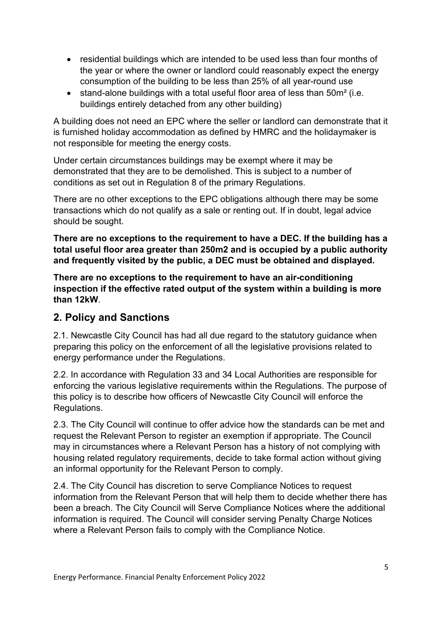- residential buildings which are intended to be used less than four months of the year or where the owner or landlord could reasonably expect the energy consumption of the building to be less than 25% of all year-round use
- stand-alone buildings with a total useful floor area of less than 50m<sup>2</sup> (i.e. buildings entirely detached from any other building)

A building does not need an EPC where the seller or landlord can demonstrate that it is furnished holiday accommodation as defined by HMRC and the holidaymaker is not responsible for meeting the energy costs.

Under certain circumstances buildings may be exempt where it may be demonstrated that they are to be demolished. This is subject to a number of conditions as set out in Regulation 8 of the primary Regulations.

There are no other exceptions to the EPC obligations although there may be some transactions which do not qualify as a sale or renting out. If in doubt, legal advice should be sought.

**There are no exceptions to the requirement to have a DEC. If the building has a total useful floor area greater than 250m2 and is occupied by a public authority and frequently visited by the public, a DEC must be obtained and displayed.** 

**There are no exceptions to the requirement to have an air-conditioning inspection if the effective rated output of the system within a building is more than 12kW**.

## **2. Policy and Sanctions**

2.1. Newcastle City Council has had all due regard to the statutory guidance when preparing this policy on the enforcement of all the legislative provisions related to energy performance under the Regulations.

2.2. In accordance with Regulation 33 and 34 Local Authorities are responsible for enforcing the various legislative requirements within the Regulations. The purpose of this policy is to describe how officers of Newcastle City Council will enforce the Regulations.

2.3. The City Council will continue to offer advice how the standards can be met and request the Relevant Person to register an exemption if appropriate. The Council may in circumstances where a Relevant Person has a history of not complying with housing related regulatory requirements, decide to take formal action without giving an informal opportunity for the Relevant Person to comply.

2.4. The City Council has discretion to serve Compliance Notices to request information from the Relevant Person that will help them to decide whether there has been a breach. The City Council will Serve Compliance Notices where the additional information is required. The Council will consider serving Penalty Charge Notices where a Relevant Person fails to comply with the Compliance Notice.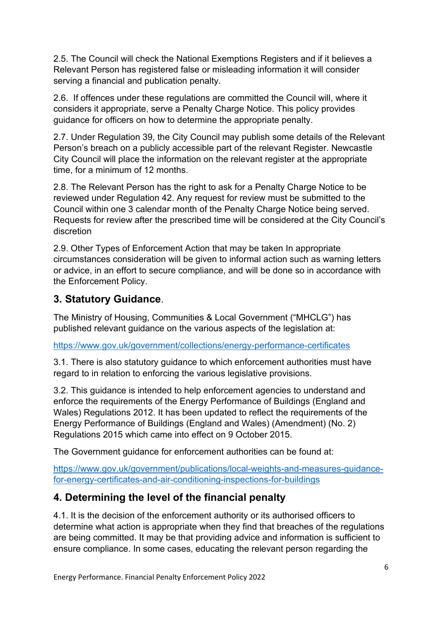2.5. The Council will check the National Exemptions Registers and if it believes a Relevant Person has registered false or misleading information it will consider serving a financial and publication penalty.

2.6. If offences under these regulations are committed the Council will, where it considers it appropriate, serve a Penalty Charge Notice. This policy provides guidance for officers on how to determine the appropriate penalty.

2.7. Under Regulation 39, the City Council may publish some details of the Relevant Person's breach on a publicly accessible part of the relevant Register. Newcastle City Council will place the information on the relevant register at the appropriate time, for a minimum of 12 months.

2.8. The Relevant Person has the right to ask for a Penalty Charge Notice to be reviewed under Regulation 42. Any request for review must be submitted to the Council within one 3 calendar month of the Penalty Charge Notice being served. Requests for review after the prescribed time will be considered at the City Council's discretion

2.9. Other Types of Enforcement Action that may be taken In appropriate circumstances consideration will be given to informal action such as warning letters or advice, in an effort to secure compliance, and will be done so in accordance with the Enforcement Policy.

## **3. Statutory Guidance**.

The Ministry of Housing, Communities & Local Government ("MHCLG") has published relevant guidance on the various aspects of the legislation at:

<https://www.gov.uk/government/collections/energy-performance-certificates>

3.1. There is also statutory guidance to which enforcement authorities must have regard to in relation to enforcing the various legislative provisions.

3.2. This guidance is intended to help enforcement agencies to understand and enforce the requirements of the Energy Performance of Buildings (England and Wales) Regulations 2012. It has been updated to reflect the requirements of the Energy Performance of Buildings (England and Wales) (Amendment) (No. 2) Regulations 2015 which came into effect on 9 October 2015.

The Government guidance for enforcement authorities can be found at:

[https://www.gov.uk/government/publications/local-weights-and-measures-guidance](https://www.gov.uk/government/publications/local-weights-and-measures-guidance-for-energy-certificates-and-air-conditioning-inspections-for-buildings)[for-energy-certificates-and-air-conditioning-inspections-for-buildings](https://www.gov.uk/government/publications/local-weights-and-measures-guidance-for-energy-certificates-and-air-conditioning-inspections-for-buildings)

## **4. Determining the level of the financial penalty**

4.1. It is the decision of the enforcement authority or its authorised officers to determine what action is appropriate when they find that breaches of the regulations are being committed. It may be that providing advice and information is sufficient to ensure compliance. In some cases, educating the relevant person regarding the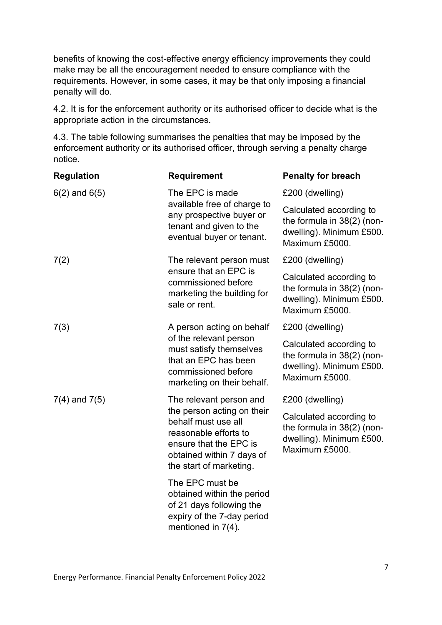benefits of knowing the cost-effective energy efficiency improvements they could make may be all the encouragement needed to ensure compliance with the requirements. However, in some cases, it may be that only imposing a financial penalty will do.

4.2. It is for the enforcement authority or its authorised officer to decide what is the appropriate action in the circumstances.

4.3. The table following summarises the penalties that may be imposed by the enforcement authority or its authorised officer, through serving a penalty charge notice.

| <b>Regulation</b> | <b>Requirement</b>                                                                                                                                           | <b>Penalty for breach</b>                                                                           |
|-------------------|--------------------------------------------------------------------------------------------------------------------------------------------------------------|-----------------------------------------------------------------------------------------------------|
| $6(2)$ and $6(5)$ | The EPC is made                                                                                                                                              | £200 (dwelling)                                                                                     |
|                   | available free of charge to<br>any prospective buyer or<br>tenant and given to the<br>eventual buyer or tenant.                                              | Calculated according to<br>the formula in 38(2) (non-<br>dwelling). Minimum £500.<br>Maximum £5000. |
| 7(2)              | The relevant person must                                                                                                                                     | £200 (dwelling)                                                                                     |
|                   | ensure that an EPC is<br>commissioned before<br>marketing the building for<br>sale or rent.                                                                  | Calculated according to<br>the formula in 38(2) (non-<br>dwelling). Minimum £500.<br>Maximum £5000. |
| 7(3)              | A person acting on behalf                                                                                                                                    | £200 (dwelling)                                                                                     |
|                   | of the relevant person<br>must satisfy themselves<br>that an EPC has been<br>commissioned before<br>marketing on their behalf.                               | Calculated according to<br>the formula in 38(2) (non-<br>dwelling). Minimum £500.<br>Maximum £5000. |
| $7(4)$ and $7(5)$ | The relevant person and                                                                                                                                      | £200 (dwelling)                                                                                     |
|                   | the person acting on their<br>behalf must use all<br>reasonable efforts to<br>ensure that the EPC is<br>obtained within 7 days of<br>the start of marketing. | Calculated according to<br>the formula in 38(2) (non-<br>dwelling). Minimum £500.<br>Maximum £5000. |
|                   | The EPC must be<br>obtained within the period<br>of 21 days following the<br>expiry of the 7-day period<br>mentioned in $7(4)$ .                             |                                                                                                     |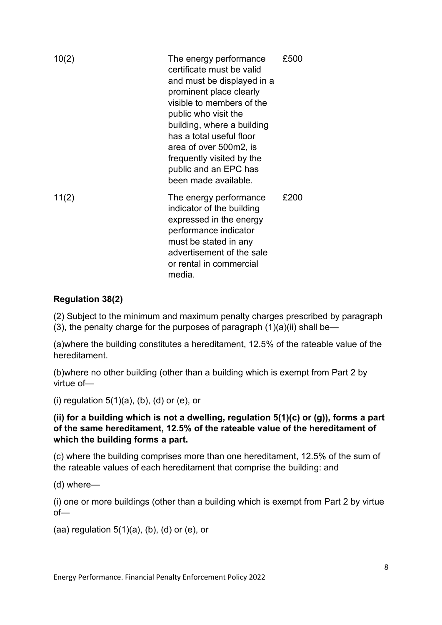| 10(2) | The energy performance<br>certificate must be valid<br>and must be displayed in a<br>prominent place clearly<br>visible to members of the<br>public who visit the<br>building, where a building<br>has a total useful floor<br>area of over 500m2, is<br>frequently visited by the<br>public and an EPC has<br>been made available. | £500 |
|-------|-------------------------------------------------------------------------------------------------------------------------------------------------------------------------------------------------------------------------------------------------------------------------------------------------------------------------------------|------|
| 11(2) | The energy performance<br>indicator of the building<br>expressed in the energy<br>performance indicator<br>must be stated in any<br>advertisement of the sale<br>or rental in commercial<br>media.                                                                                                                                  | £200 |

#### **Regulation 38(2)**

(2) Subject to the minimum and maximum penalty charges prescribed by paragraph

(3), the penalty charge for the purposes of paragraph  $(1)(a)(ii)$  shall be—

(a)where the building constitutes a hereditament, 12.5% of the rateable value of the hereditament.

(b)where no other building (other than a building which is exempt from Part 2 by virtue of—

(i) regulation  $5(1)(a)$ ,  $(b)$ ,  $(d)$  or  $(e)$ , or

#### **(ii) for a building which is not a dwelling, regulation 5(1)(c) or (g)), forms a part of the same hereditament, 12.5% of the rateable value of the hereditament of which the building forms a part.**

(c) where the building comprises more than one hereditament, 12.5% of the sum of the rateable values of each hereditament that comprise the building: and

(d) where—

(i) one or more buildings (other than a building which is exempt from Part 2 by virtue of—

(aa) regulation  $5(1)(a)$ ,  $(b)$ ,  $(d)$  or  $(e)$ , or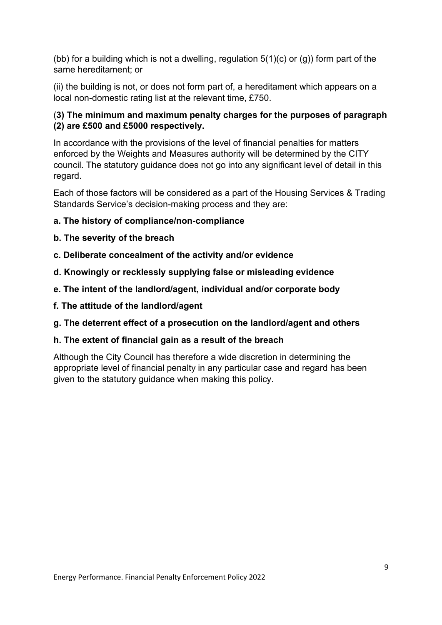(bb) for a building which is not a dwelling, regulation  $5(1)(c)$  or  $(g)$ ) form part of the same hereditament; or

(ii) the building is not, or does not form part of, a hereditament which appears on a local non-domestic rating list at the relevant time, £750.

## (**3) The minimum and maximum penalty charges for the purposes of paragraph (2) are £500 and £5000 respectively.**

In accordance with the provisions of the level of financial penalties for matters enforced by the Weights and Measures authority will be determined by the CITY council. The statutory guidance does not go into any significant level of detail in this regard.

Each of those factors will be considered as a part of the Housing Services & Trading Standards Service's decision-making process and they are:

#### **a. The history of compliance/non-compliance**

- **b. The severity of the breach**
- **c. Deliberate concealment of the activity and/or evidence**
- **d. Knowingly or recklessly supplying false or misleading evidence**
- **e. The intent of the landlord/agent, individual and/or corporate body**
- **f. The attitude of the landlord/agent**
- **g. The deterrent effect of a prosecution on the landlord/agent and others**

#### **h. The extent of financial gain as a result of the breach**

Although the City Council has therefore a wide discretion in determining the appropriate level of financial penalty in any particular case and regard has been given to the statutory guidance when making this policy.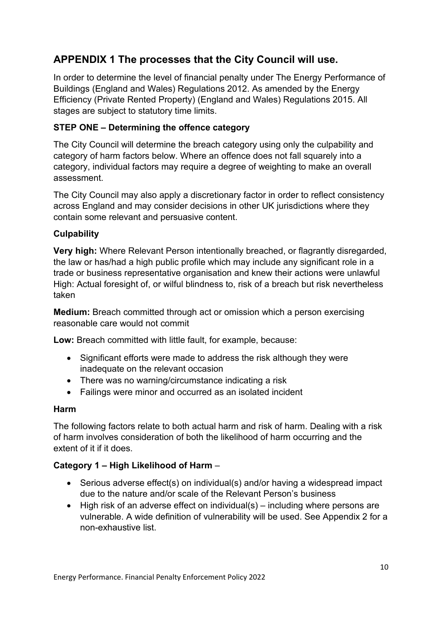# **APPENDIX 1 The processes that the City Council will use.**

In order to determine the level of financial penalty under The Energy Performance of Buildings (England and Wales) Regulations 2012. As amended by the Energy Efficiency (Private Rented Property) (England and Wales) Regulations 2015. All stages are subject to statutory time limits.

## **STEP ONE – Determining the offence category**

The City Council will determine the breach category using only the culpability and category of harm factors below. Where an offence does not fall squarely into a category, individual factors may require a degree of weighting to make an overall assessment.

The City Council may also apply a discretionary factor in order to reflect consistency across England and may consider decisions in other UK jurisdictions where they contain some relevant and persuasive content.

#### **Culpability**

**Very high:** Where Relevant Person intentionally breached, or flagrantly disregarded, the law or has/had a high public profile which may include any significant role in a trade or business representative organisation and knew their actions were unlawful High: Actual foresight of, or wilful blindness to, risk of a breach but risk nevertheless taken

**Medium:** Breach committed through act or omission which a person exercising reasonable care would not commit

**Low:** Breach committed with little fault, for example, because:

- Significant efforts were made to address the risk although they were inadequate on the relevant occasion
- There was no warning/circumstance indicating a risk
- Failings were minor and occurred as an isolated incident

#### **Harm**

The following factors relate to both actual harm and risk of harm. Dealing with a risk of harm involves consideration of both the likelihood of harm occurring and the extent of it if it does.

#### **Category 1 – High Likelihood of Harm** –

- Serious adverse effect(s) on individual(s) and/or having a widespread impact due to the nature and/or scale of the Relevant Person's business
- High risk of an adverse effect on individual(s) including where persons are vulnerable. A wide definition of vulnerability will be used. See Appendix 2 for a non-exhaustive list.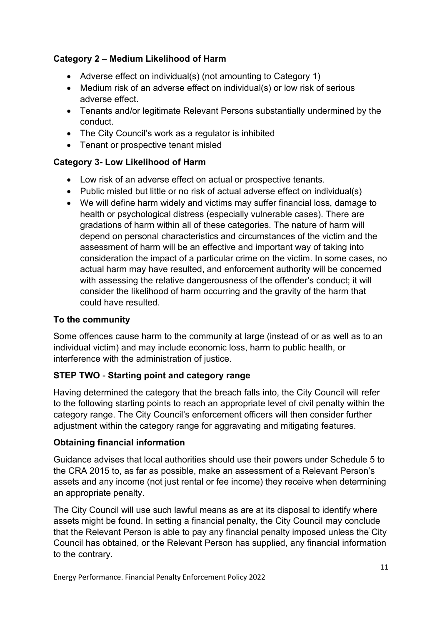## **Category 2 – Medium Likelihood of Harm**

- Adverse effect on individual(s) (not amounting to Category 1)
- Medium risk of an adverse effect on individual(s) or low risk of serious adverse effect.
- Tenants and/or legitimate Relevant Persons substantially undermined by the conduct.
- The City Council's work as a regulator is inhibited
- Tenant or prospective tenant misled

## **Category 3- Low Likelihood of Harm**

- Low risk of an adverse effect on actual or prospective tenants.
- Public misled but little or no risk of actual adverse effect on individual(s)
- We will define harm widely and victims may suffer financial loss, damage to health or psychological distress (especially vulnerable cases). There are gradations of harm within all of these categories. The nature of harm will depend on personal characteristics and circumstances of the victim and the assessment of harm will be an effective and important way of taking into consideration the impact of a particular crime on the victim. In some cases, no actual harm may have resulted, and enforcement authority will be concerned with assessing the relative dangerousness of the offender's conduct; it will consider the likelihood of harm occurring and the gravity of the harm that could have resulted.

#### **To the community**

Some offences cause harm to the community at large (instead of or as well as to an individual victim) and may include economic loss, harm to public health, or interference with the administration of justice.

## **STEP TWO** - **Starting point and category range**

Having determined the category that the breach falls into, the City Council will refer to the following starting points to reach an appropriate level of civil penalty within the category range. The City Council's enforcement officers will then consider further adjustment within the category range for aggravating and mitigating features.

## **Obtaining financial information**

Guidance advises that local authorities should use their powers under Schedule 5 to the CRA 2015 to, as far as possible, make an assessment of a Relevant Person's assets and any income (not just rental or fee income) they receive when determining an appropriate penalty.

The City Council will use such lawful means as are at its disposal to identify where assets might be found. In setting a financial penalty, the City Council may conclude that the Relevant Person is able to pay any financial penalty imposed unless the City Council has obtained, or the Relevant Person has supplied, any financial information to the contrary.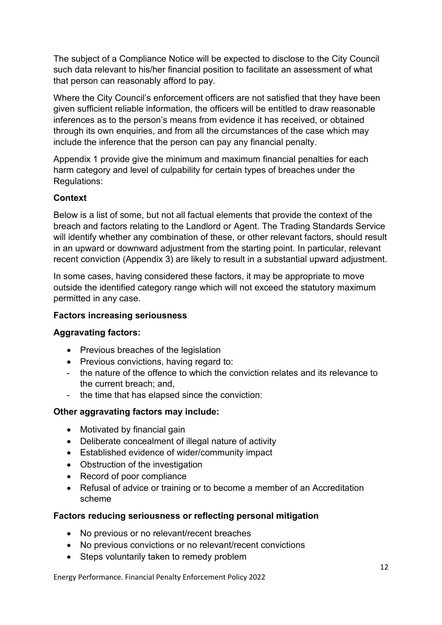The subject of a Compliance Notice will be expected to disclose to the City Council such data relevant to his/her financial position to facilitate an assessment of what that person can reasonably afford to pay.

Where the City Council's enforcement officers are not satisfied that they have been given sufficient reliable information, the officers will be entitled to draw reasonable inferences as to the person's means from evidence it has received, or obtained through its own enquiries, and from all the circumstances of the case which may include the inference that the person can pay any financial penalty.

Appendix 1 provide give the minimum and maximum financial penalties for each harm category and level of culpability for certain types of breaches under the Regulations:

#### **Context**

Below is a list of some, but not all factual elements that provide the context of the breach and factors relating to the Landlord or Agent. The Trading Standards Service will identify whether any combination of these, or other relevant factors, should result in an upward or downward adjustment from the starting point. In particular, relevant recent conviction (Appendix 3) are likely to result in a substantial upward adjustment.

In some cases, having considered these factors, it may be appropriate to move outside the identified category range which will not exceed the statutory maximum permitted in any case.

#### **Factors increasing seriousness**

#### **Aggravating factors:**

- Previous breaches of the legislation
- Previous convictions, having regard to:
- the nature of the offence to which the conviction relates and its relevance to the current breach; and,
- the time that has elapsed since the conviction:

#### **Other aggravating factors may include:**

- Motivated by financial gain
- Deliberate concealment of illegal nature of activity
- Established evidence of wider/community impact
- Obstruction of the investigation
- Record of poor compliance
- Refusal of advice or training or to become a member of an Accreditation scheme

#### **Factors reducing seriousness or reflecting personal mitigation**

- No previous or no relevant/recent breaches
- No previous convictions or no relevant/recent convictions
- Steps voluntarily taken to remedy problem

Energy Performance. Financial Penalty Enforcement Policy 2022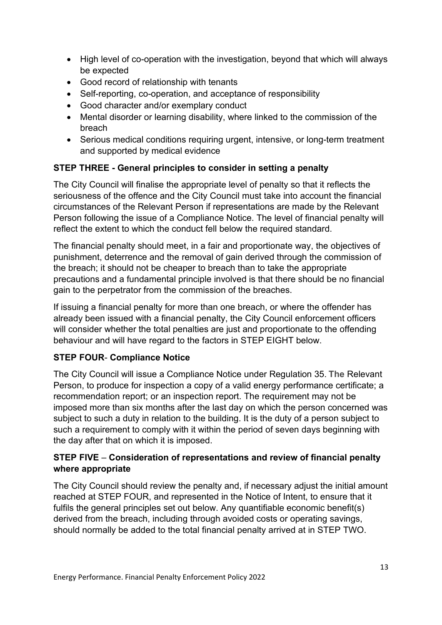- High level of co-operation with the investigation, beyond that which will always be expected
- Good record of relationship with tenants
- Self-reporting, co-operation, and acceptance of responsibility
- Good character and/or exemplary conduct
- Mental disorder or learning disability, where linked to the commission of the breach
- Serious medical conditions requiring urgent, intensive, or long-term treatment and supported by medical evidence

#### **STEP THREE - General principles to consider in setting a penalty**

The City Council will finalise the appropriate level of penalty so that it reflects the seriousness of the offence and the City Council must take into account the financial circumstances of the Relevant Person if representations are made by the Relevant Person following the issue of a Compliance Notice. The level of financial penalty will reflect the extent to which the conduct fell below the required standard.

The financial penalty should meet, in a fair and proportionate way, the objectives of punishment, deterrence and the removal of gain derived through the commission of the breach; it should not be cheaper to breach than to take the appropriate precautions and a fundamental principle involved is that there should be no financial gain to the perpetrator from the commission of the breaches.

If issuing a financial penalty for more than one breach, or where the offender has already been issued with a financial penalty, the City Council enforcement officers will consider whether the total penalties are just and proportionate to the offending behaviour and will have regard to the factors in STEP EIGHT below.

#### **STEP FOUR**- **Compliance Notice**

The City Council will issue a Compliance Notice under Regulation 35. **The** Relevant Person, to produce for inspection a copy of a valid energy performance certificate; a recommendation report; or an inspection report. The requirement may not be imposed more than six months after the last day on which the person concerned was subject to such a duty in relation to the building. It is the duty of a person subject to such a requirement to comply with it within the period of seven days beginning with the day after that on which it is imposed.

#### **STEP FIVE** – **Consideration of representations and review of financial penalty where appropriate**

The City Council should review the penalty and, if necessary adjust the initial amount reached at STEP FOUR, and represented in the Notice of Intent, to ensure that it fulfils the general principles set out below. Any quantifiable economic benefit(s) derived from the breach, including through avoided costs or operating savings, should normally be added to the total financial penalty arrived at in STEP TWO.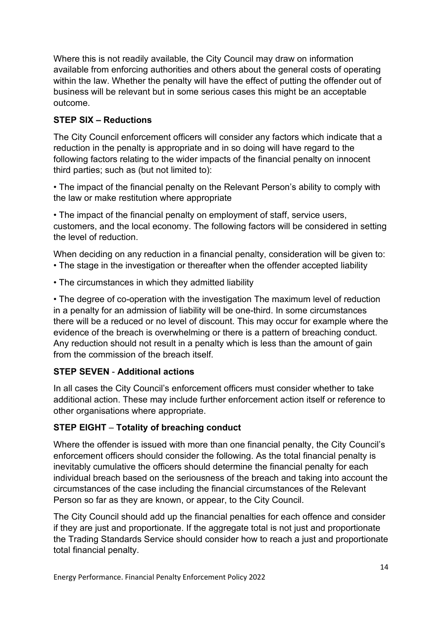Where this is not readily available, the City Council may draw on information available from enforcing authorities and others about the general costs of operating within the law. Whether the penalty will have the effect of putting the offender out of business will be relevant but in some serious cases this might be an acceptable outcome.

## **STEP SIX – Reductions**

The City Council enforcement officers will consider any factors which indicate that a reduction in the penalty is appropriate and in so doing will have regard to the following factors relating to the wider impacts of the financial penalty on innocent third parties; such as (but not limited to):

• The impact of the financial penalty on the Relevant Person's ability to comply with the law or make restitution where appropriate

• The impact of the financial penalty on employment of staff, service users, customers, and the local economy. The following factors will be considered in setting the level of reduction.

When deciding on any reduction in a financial penalty, consideration will be given to: • The stage in the investigation or thereafter when the offender accepted liability

• The circumstances in which they admitted liability

• The degree of co-operation with the investigation The maximum level of reduction in a penalty for an admission of liability will be one-third. In some circumstances there will be a reduced or no level of discount. This may occur for example where the evidence of the breach is overwhelming or there is a pattern of breaching conduct. Any reduction should not result in a penalty which is less than the amount of gain from the commission of the breach itself.

## **STEP SEVEN** - **Additional actions**

In all cases the City Council's enforcement officers must consider whether to take additional action. These may include further enforcement action itself or reference to other organisations where appropriate.

#### **STEP EIGHT** – **Totality of breaching conduct**

Where the offender is issued with more than one financial penalty, the City Council's enforcement officers should consider the following. As the total financial penalty is inevitably cumulative the officers should determine the financial penalty for each individual breach based on the seriousness of the breach and taking into account the circumstances of the case including the financial circumstances of the Relevant Person so far as they are known, or appear, to the City Council.

The City Council should add up the financial penalties for each offence and consider if they are just and proportionate. If the aggregate total is not just and proportionate the Trading Standards Service should consider how to reach a just and proportionate total financial penalty.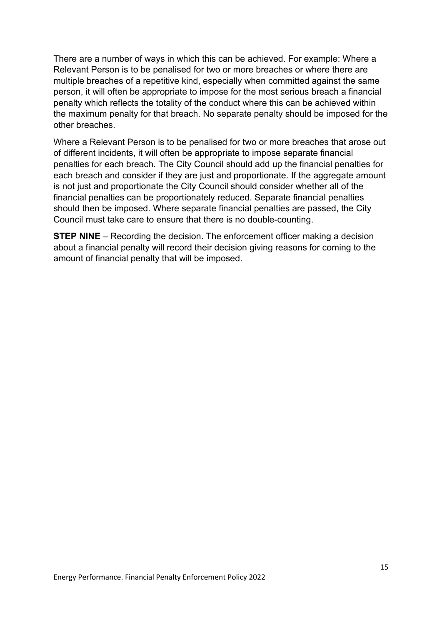There are a number of ways in which this can be achieved. For example: Where a Relevant Person is to be penalised for two or more breaches or where there are multiple breaches of a repetitive kind, especially when committed against the same person, it will often be appropriate to impose for the most serious breach a financial penalty which reflects the totality of the conduct where this can be achieved within the maximum penalty for that breach. No separate penalty should be imposed for the other breaches.

Where a Relevant Person is to be penalised for two or more breaches that arose out of different incidents, it will often be appropriate to impose separate financial penalties for each breach. The City Council should add up the financial penalties for each breach and consider if they are just and proportionate. If the aggregate amount is not just and proportionate the City Council should consider whether all of the financial penalties can be proportionately reduced. Separate financial penalties should then be imposed. Where separate financial penalties are passed, the City Council must take care to ensure that there is no double-counting.

**STEP NINE** – Recording the decision. The enforcement officer making a decision about a financial penalty will record their decision giving reasons for coming to the amount of financial penalty that will be imposed.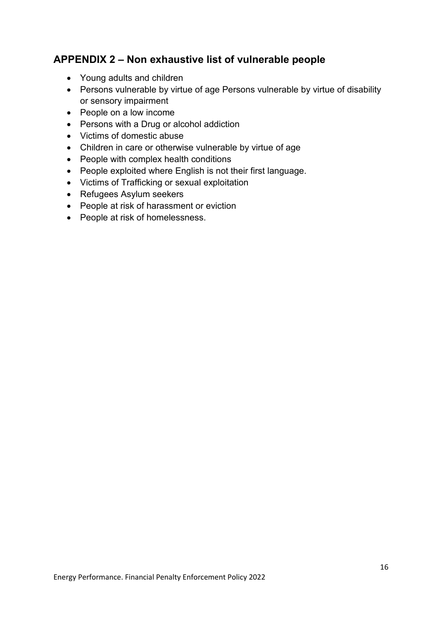# **APPENDIX 2 – Non exhaustive list of vulnerable people**

- Young adults and children
- Persons vulnerable by virtue of age Persons vulnerable by virtue of disability or sensory impairment
- People on a low income
- Persons with a Drug or alcohol addiction
- Victims of domestic abuse
- Children in care or otherwise vulnerable by virtue of age
- People with complex health conditions
- People exploited where English is not their first language.
- Victims of Trafficking or sexual exploitation
- Refugees Asylum seekers
- People at risk of harassment or eviction
- People at risk of homelessness.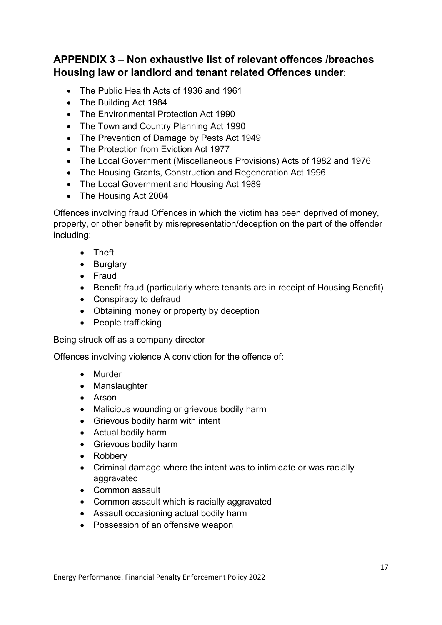# **APPENDIX 3 – Non exhaustive list of relevant offences /breaches Housing law or landlord and tenant related Offences under**:

- The Public Health Acts of 1936 and 1961
- The Building Act 1984
- The Environmental Protection Act 1990
- The Town and Country Planning Act 1990
- The Prevention of Damage by Pests Act 1949
- The Protection from Eviction Act 1977
- The Local Government (Miscellaneous Provisions) Acts of 1982 and 1976
- The Housing Grants, Construction and Regeneration Act 1996
- The Local Government and Housing Act 1989
- The Housing Act 2004

Offences involving fraud Offences in which the victim has been deprived of money, property, or other benefit by misrepresentation/deception on the part of the offender including:

- Theft
- Burglary
- Fraud
- Benefit fraud (particularly where tenants are in receipt of Housing Benefit)
- Conspiracy to defraud
- Obtaining money or property by deception
- People trafficking

Being struck off as a company director

Offences involving violence A conviction for the offence of:

- Murder
- Manslaughter
- Arson
- Malicious wounding or grievous bodily harm
- Grievous bodily harm with intent
- Actual bodily harm
- Grievous bodily harm
- Robbery
- Criminal damage where the intent was to intimidate or was racially aggravated
- Common assault
- Common assault which is racially aggravated
- Assault occasioning actual bodily harm
- Possession of an offensive weapon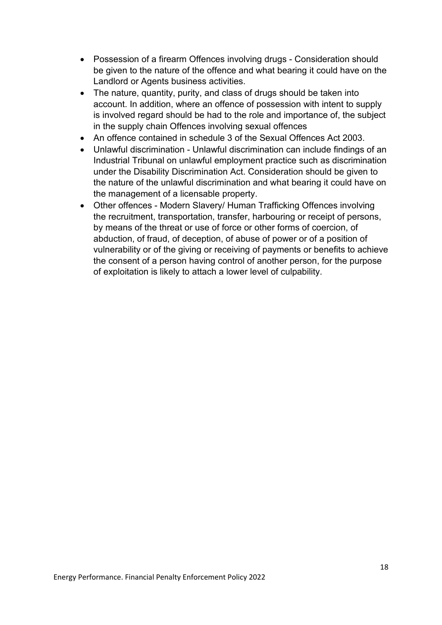- Possession of a firearm Offences involving drugs Consideration should be given to the nature of the offence and what bearing it could have on the Landlord or Agents business activities.
- The nature, quantity, purity, and class of drugs should be taken into account. In addition, where an offence of possession with intent to supply is involved regard should be had to the role and importance of, the subject in the supply chain Offences involving sexual offences
- An offence contained in schedule 3 of the Sexual Offences Act 2003.
- Unlawful discrimination Unlawful discrimination can include findings of an Industrial Tribunal on unlawful employment practice such as discrimination under the Disability Discrimination Act. Consideration should be given to the nature of the unlawful discrimination and what bearing it could have on the management of a licensable property.
- Other offences Modern Slavery/ Human Trafficking Offences involving the recruitment, transportation, transfer, harbouring or receipt of persons, by means of the threat or use of force or other forms of coercion, of abduction, of fraud, of deception, of abuse of power or of a position of vulnerability or of the giving or receiving of payments or benefits to achieve the consent of a person having control of another person, for the purpose of exploitation is likely to attach a lower level of culpability.